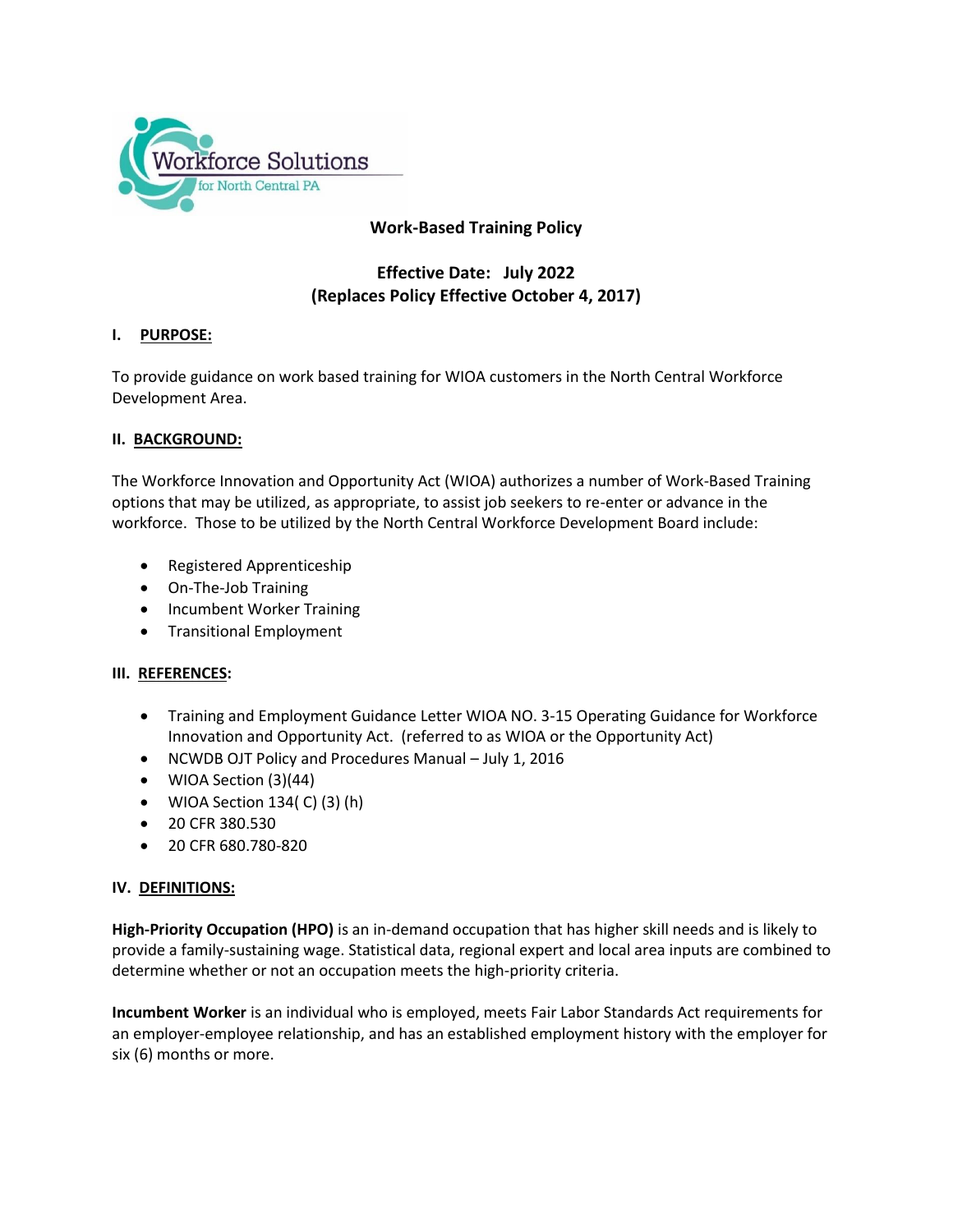

# **Work-Based Training Policy**

# **Effective Date: July 2022 (Replaces Policy Effective October 4, 2017)**

# **I. PURPOSE:**

To provide guidance on work based training for WIOA customers in the North Central Workforce Development Area.

## **II. BACKGROUND:**

The Workforce Innovation and Opportunity Act (WIOA) authorizes a number of Work-Based Training options that may be utilized, as appropriate, to assist job seekers to re-enter or advance in the workforce. Those to be utilized by the North Central Workforce Development Board include:

- Registered Apprenticeship
- On-The-Job Training
- Incumbent Worker Training
- **•** Transitional Employment

## **III. REFERENCES:**

- Training and Employment Guidance Letter WIOA NO. 3-15 Operating Guidance for Workforce Innovation and Opportunity Act. (referred to as WIOA or the Opportunity Act)
- NCWDB OJT Policy and Procedures Manual July 1, 2016
- WIOA Section (3)(44)
- $\bullet$  WIOA Section 134( C) (3) (h)
- 20 CFR 380.530
- 20 CFR 680.780-820

# **IV. DEFINITIONS:**

**High-Priority Occupation (HPO)** is an in-demand occupation that has higher skill needs and is likely to provide a family-sustaining wage. Statistical data, regional expert and local area inputs are combined to determine whether or not an occupation meets the high-priority criteria.

**Incumbent Worker** is an individual who is employed, meets Fair Labor Standards Act requirements for an employer-employee relationship, and has an established employment history with the employer for six (6) months or more.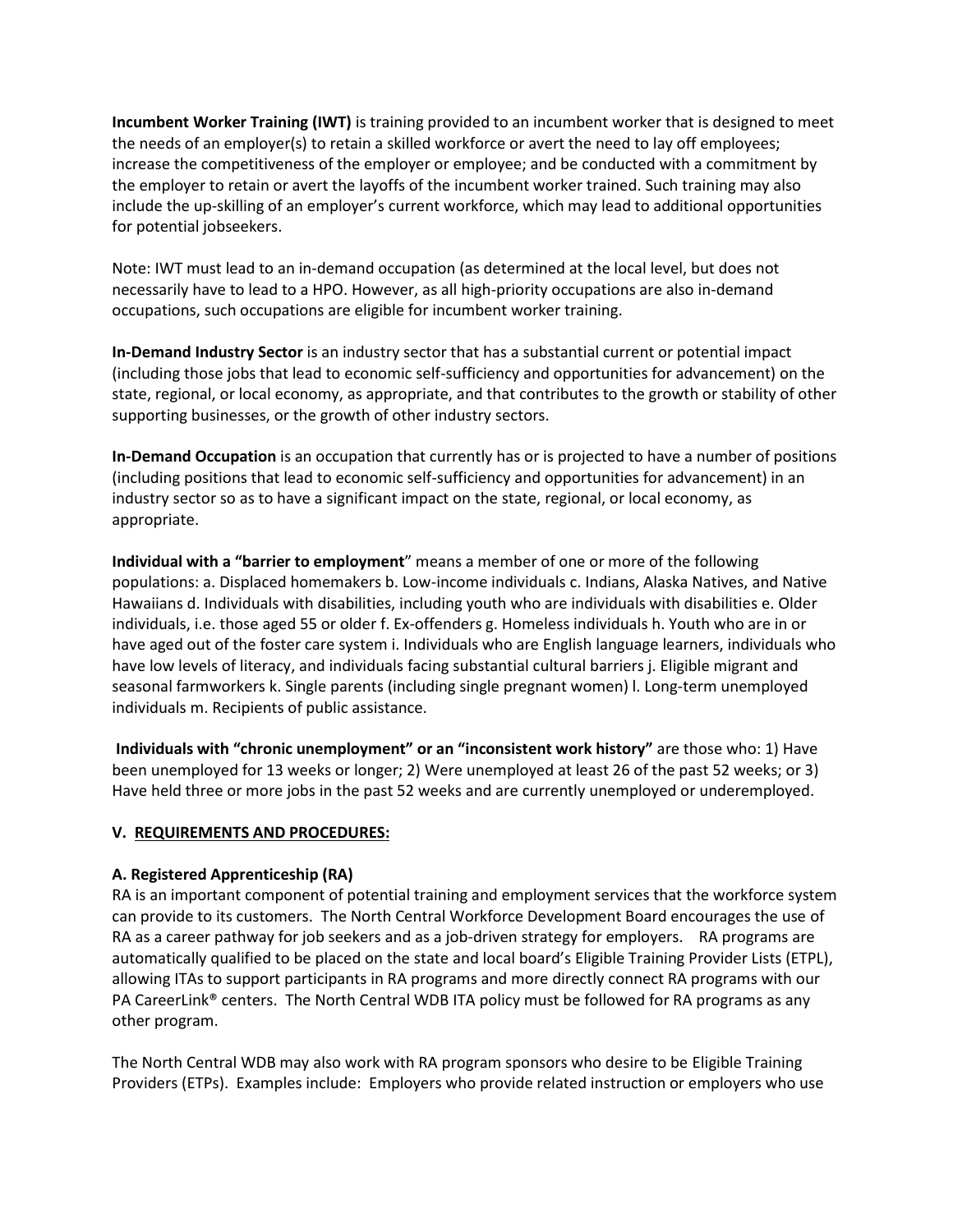**Incumbent Worker Training (IWT)** is training provided to an incumbent worker that is designed to meet the needs of an employer(s) to retain a skilled workforce or avert the need to lay off employees; increase the competitiveness of the employer or employee; and be conducted with a commitment by the employer to retain or avert the layoffs of the incumbent worker trained. Such training may also include the up-skilling of an employer's current workforce, which may lead to additional opportunities for potential jobseekers.

Note: IWT must lead to an in-demand occupation (as determined at the local level, but does not necessarily have to lead to a HPO. However, as all high-priority occupations are also in-demand occupations, such occupations are eligible for incumbent worker training.

**In-Demand Industry Sector** is an industry sector that has a substantial current or potential impact (including those jobs that lead to economic self-sufficiency and opportunities for advancement) on the state, regional, or local economy, as appropriate, and that contributes to the growth or stability of other supporting businesses, or the growth of other industry sectors.

**In-Demand Occupation** is an occupation that currently has or is projected to have a number of positions (including positions that lead to economic self-sufficiency and opportunities for advancement) in an industry sector so as to have a significant impact on the state, regional, or local economy, as appropriate.

**Individual with a "barrier to employment**" means a member of one or more of the following populations: a. Displaced homemakers b. Low-income individuals c. Indians, Alaska Natives, and Native Hawaiians d. Individuals with disabilities, including youth who are individuals with disabilities e. Older individuals, i.e. those aged 55 or older f. Ex-offenders g. Homeless individuals h. Youth who are in or have aged out of the foster care system i. Individuals who are English language learners, individuals who have low levels of literacy, and individuals facing substantial cultural barriers j. Eligible migrant and seasonal farmworkers k. Single parents (including single pregnant women) l. Long-term unemployed individuals m. Recipients of public assistance.

**Individuals with "chronic unemployment" or an "inconsistent work history"** are those who: 1) Have been unemployed for 13 weeks or longer; 2) Were unemployed at least 26 of the past 52 weeks; or 3) Have held three or more jobs in the past 52 weeks and are currently unemployed or underemployed.

## **V. REQUIREMENTS AND PROCEDURES:**

## **A. Registered Apprenticeship (RA)**

RA is an important component of potential training and employment services that the workforce system can provide to its customers. The North Central Workforce Development Board encourages the use of RA as a career pathway for job seekers and as a job-driven strategy for employers. RA programs are automatically qualified to be placed on the state and local board's Eligible Training Provider Lists (ETPL), allowing ITAs to support participants in RA programs and more directly connect RA programs with our PA CareerLink® centers. The North Central WDB ITA policy must be followed for RA programs as any other program.

The North Central WDB may also work with RA program sponsors who desire to be Eligible Training Providers (ETPs). Examples include: Employers who provide related instruction or employers who use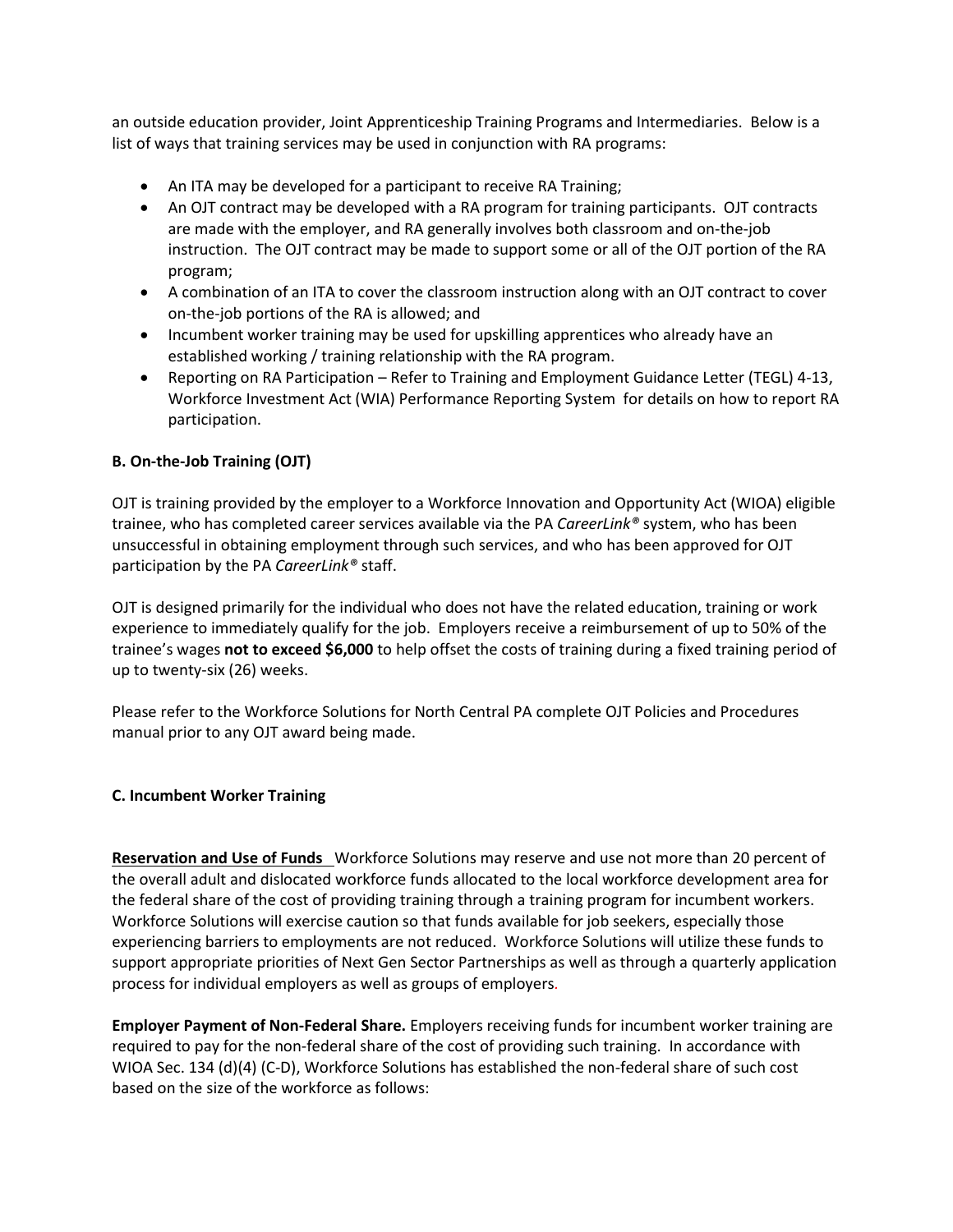an outside education provider, Joint Apprenticeship Training Programs and Intermediaries. Below is a list of ways that training services may be used in conjunction with RA programs:

- An ITA may be developed for a participant to receive RA Training;
- An OJT contract may be developed with a RA program for training participants. OJT contracts are made with the employer, and RA generally involves both classroom and on-the-job instruction. The OJT contract may be made to support some or all of the OJT portion of the RA program;
- A combination of an ITA to cover the classroom instruction along with an OJT contract to cover on-the-job portions of the RA is allowed; and
- Incumbent worker training may be used for upskilling apprentices who already have an established working / training relationship with the RA program.
- Reporting on RA Participation Refer to Training and Employment Guidance Letter (TEGL) 4-13, Workforce Investment Act (WIA) Performance Reporting System for details on how to report RA participation.

# **B. On-the-Job Training (OJT)**

OJT is training provided by the employer to a Workforce Innovation and Opportunity Act (WIOA) eligible trainee, who has completed career services available via the PA *CareerLink®* system, who has been unsuccessful in obtaining employment through such services, and who has been approved for OJT participation by the PA *CareerLink®* staff.

OJT is designed primarily for the individual who does not have the related education, training or work experience to immediately qualify for the job. Employers receive a reimbursement of up to 50% of the trainee's wages **not to exceed \$6,000** to help offset the costs of training during a fixed training period of up to twenty-six (26) weeks.

Please refer to the Workforce Solutions for North Central PA complete OJT Policies and Procedures manual prior to any OJT award being made.

## **C. Incumbent Worker Training**

**Reservation and Use of Funds** Workforce Solutions may reserve and use not more than 20 percent of the overall adult and dislocated workforce funds allocated to the local workforce development area for the federal share of the cost of providing training through a training program for incumbent workers. Workforce Solutions will exercise caution so that funds available for job seekers, especially those experiencing barriers to employments are not reduced. Workforce Solutions will utilize these funds to support appropriate priorities of Next Gen Sector Partnerships as well as through a quarterly application process for individual employers as well as groups of employers*.* 

**Employer Payment of Non-Federal Share.** Employers receiving funds for incumbent worker training are required to pay for the non-federal share of the cost of providing such training. In accordance with WIOA Sec. 134 (d)(4) (C-D), Workforce Solutions has established the non-federal share of such cost based on the size of the workforce as follows: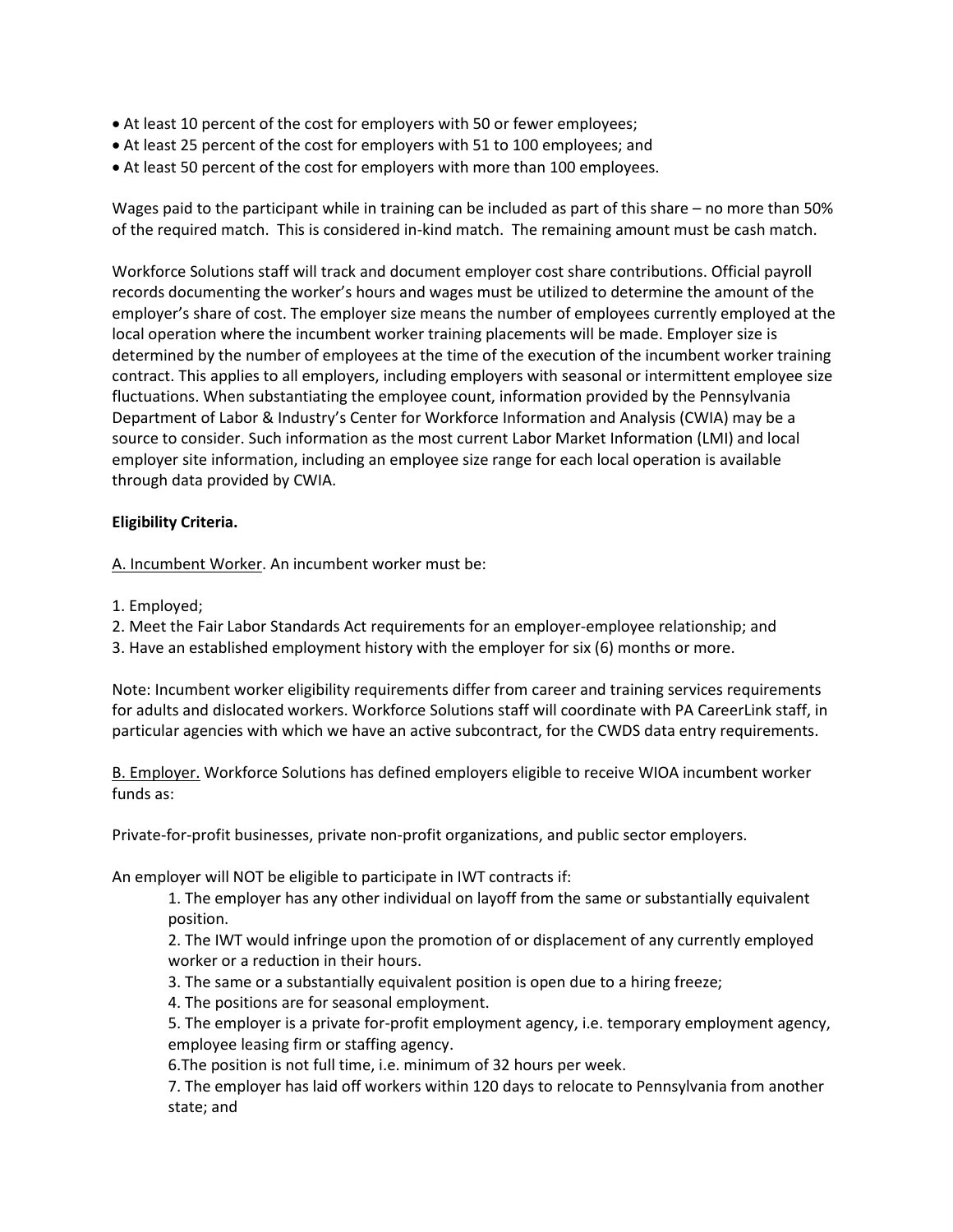- At least 10 percent of the cost for employers with 50 or fewer employees;
- At least 25 percent of the cost for employers with 51 to 100 employees; and
- At least 50 percent of the cost for employers with more than 100 employees.

Wages paid to the participant while in training can be included as part of this share – no more than 50% of the required match. This is considered in-kind match. The remaining amount must be cash match.

Workforce Solutions staff will track and document employer cost share contributions. Official payroll records documenting the worker's hours and wages must be utilized to determine the amount of the employer's share of cost. The employer size means the number of employees currently employed at the local operation where the incumbent worker training placements will be made. Employer size is determined by the number of employees at the time of the execution of the incumbent worker training contract. This applies to all employers, including employers with seasonal or intermittent employee size fluctuations. When substantiating the employee count, information provided by the Pennsylvania Department of Labor & Industry's Center for Workforce Information and Analysis (CWIA) may be a source to consider. Such information as the most current Labor Market Information (LMI) and local employer site information, including an employee size range for each local operation is available through data provided by CWIA.

## **Eligibility Criteria.**

A. Incumbent Worker. An incumbent worker must be:

1. Employed;

2. Meet the Fair Labor Standards Act requirements for an employer-employee relationship; and

3. Have an established employment history with the employer for six (6) months or more.

Note: Incumbent worker eligibility requirements differ from career and training services requirements for adults and dislocated workers. Workforce Solutions staff will coordinate with PA CareerLink staff, in particular agencies with which we have an active subcontract, for the CWDS data entry requirements.

B. Employer. Workforce Solutions has defined employers eligible to receive WIOA incumbent worker funds as:

Private-for-profit businesses, private non-profit organizations, and public sector employers.

An employer will NOT be eligible to participate in IWT contracts if:

1. The employer has any other individual on layoff from the same or substantially equivalent position.

2. The IWT would infringe upon the promotion of or displacement of any currently employed worker or a reduction in their hours.

3. The same or a substantially equivalent position is open due to a hiring freeze;

4. The positions are for seasonal employment.

5. The employer is a private for-profit employment agency, i.e. temporary employment agency, employee leasing firm or staffing agency.

6.The position is not full time, i.e. minimum of 32 hours per week.

7. The employer has laid off workers within 120 days to relocate to Pennsylvania from another state; and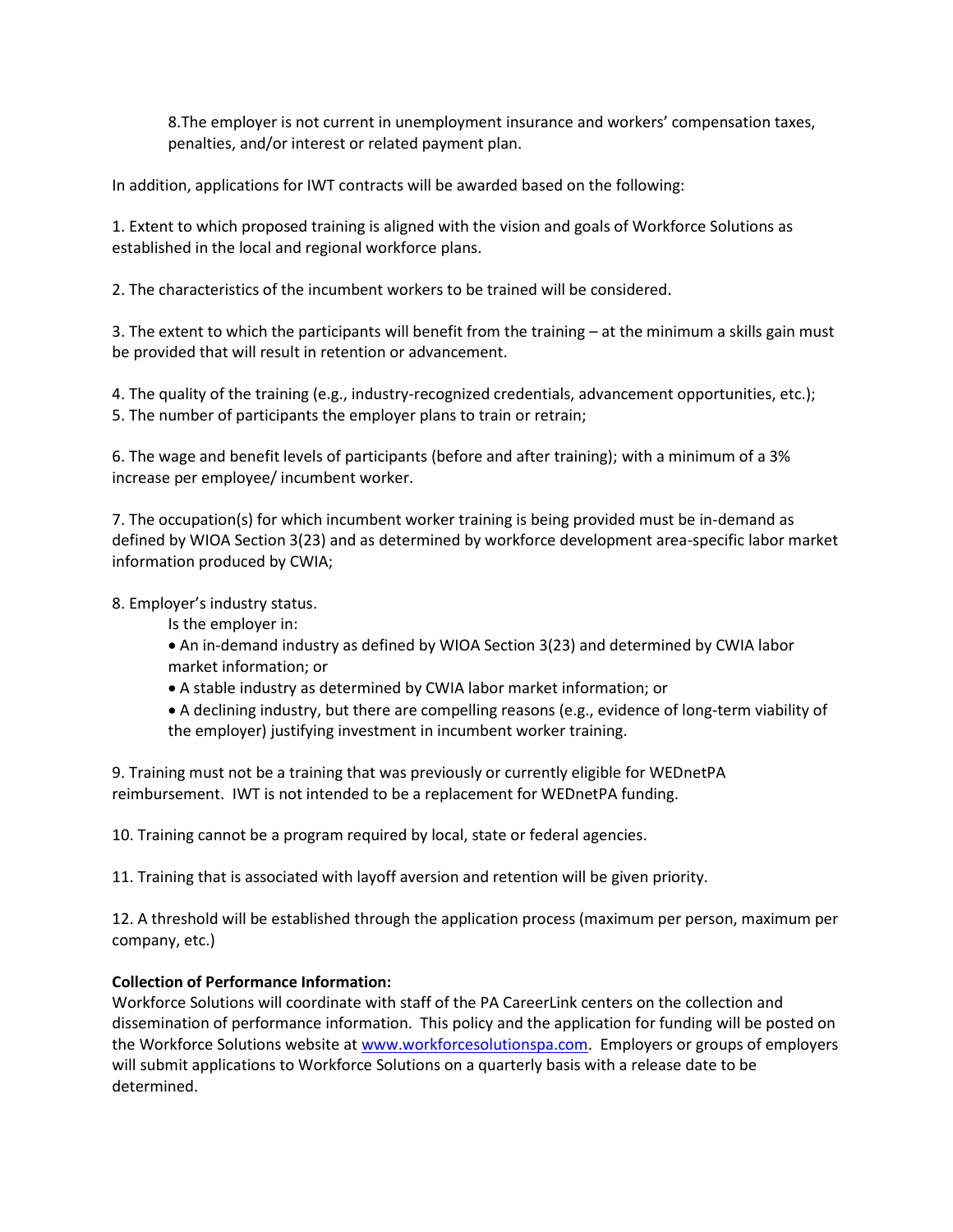8.The employer is not current in unemployment insurance and workers' compensation taxes, penalties, and/or interest or related payment plan.

In addition, applications for IWT contracts will be awarded based on the following:

1. Extent to which proposed training is aligned with the vision and goals of Workforce Solutions as established in the local and regional workforce plans.

2. The characteristics of the incumbent workers to be trained will be considered.

3. The extent to which the participants will benefit from the training – at the minimum a skills gain must be provided that will result in retention or advancement.

4. The quality of the training (e.g., industry-recognized credentials, advancement opportunities, etc.); 5. The number of participants the employer plans to train or retrain;

6. The wage and benefit levels of participants (before and after training); with a minimum of a 3% increase per employee/ incumbent worker.

7. The occupation(s) for which incumbent worker training is being provided must be in-demand as defined by WIOA Section 3(23) and as determined by workforce development area-specific labor market information produced by CWIA;

# 8. Employer's industry status.

- Is the employer in:
- An in-demand industry as defined by WIOA Section 3(23) and determined by CWIA labor market information; or
- A stable industry as determined by CWIA labor market information; or
- A declining industry, but there are compelling reasons (e.g., evidence of long-term viability of the employer) justifying investment in incumbent worker training.

9. Training must not be a training that was previously or currently eligible for WEDnetPA reimbursement. IWT is not intended to be a replacement for WEDnetPA funding.

10. Training cannot be a program required by local, state or federal agencies.

11. Training that is associated with layoff aversion and retention will be given priority.

12. A threshold will be established through the application process (maximum per person, maximum per company, etc.)

## **Collection of Performance Information:**

Workforce Solutions will coordinate with staff of the PA CareerLink centers on the collection and dissemination of performance information. This policy and the application for funding will be posted on the Workforce Solutions website at [www.workforcesolutionspa.com.](http://www.workforcesolutionspa.com/) Employers or groups of employers will submit applications to Workforce Solutions on a quarterly basis with a release date to be determined.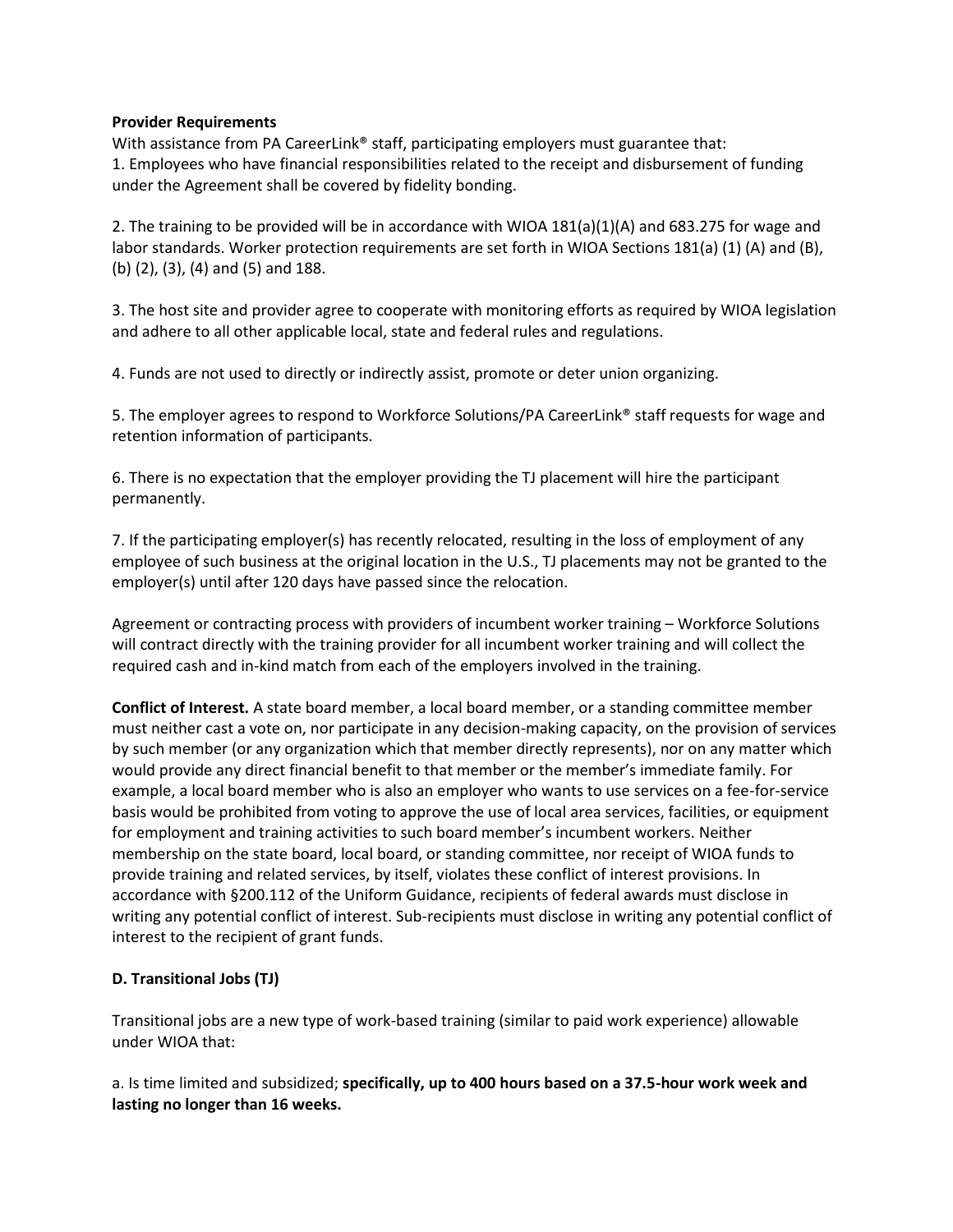#### **Provider Requirements**

With assistance from PA CareerLink® staff, participating employers must guarantee that: 1. Employees who have financial responsibilities related to the receipt and disbursement of funding under the Agreement shall be covered by fidelity bonding.

2. The training to be provided will be in accordance with WIOA 181(a)(1)(A) and 683.275 for wage and labor standards. Worker protection requirements are set forth in WIOA Sections 181(a) (1) (A) and (B), (b) (2), (3), (4) and (5) and 188.

3. The host site and provider agree to cooperate with monitoring efforts as required by WIOA legislation and adhere to all other applicable local, state and federal rules and regulations.

4. Funds are not used to directly or indirectly assist, promote or deter union organizing.

5. The employer agrees to respond to Workforce Solutions/PA CareerLink® staff requests for wage and retention information of participants.

6. There is no expectation that the employer providing the TJ placement will hire the participant permanently.

7. If the participating employer(s) has recently relocated, resulting in the loss of employment of any employee of such business at the original location in the U.S., TJ placements may not be granted to the employer(s) until after 120 days have passed since the relocation.

Agreement or contracting process with providers of incumbent worker training – Workforce Solutions will contract directly with the training provider for all incumbent worker training and will collect the required cash and in-kind match from each of the employers involved in the training.

**Conflict of Interest.** A state board member, a local board member, or a standing committee member must neither cast a vote on, nor participate in any decision-making capacity, on the provision of services by such member (or any organization which that member directly represents), nor on any matter which would provide any direct financial benefit to that member or the member's immediate family. For example, a local board member who is also an employer who wants to use services on a fee-for-service basis would be prohibited from voting to approve the use of local area services, facilities, or equipment for employment and training activities to such board member's incumbent workers. Neither membership on the state board, local board, or standing committee, nor receipt of WIOA funds to provide training and related services, by itself, violates these conflict of interest provisions. In accordance with §200.112 of the Uniform Guidance, recipients of federal awards must disclose in writing any potential conflict of interest. Sub-recipients must disclose in writing any potential conflict of interest to the recipient of grant funds.

# **D. Transitional Jobs (TJ)**

Transitional jobs are a new type of work-based training (similar to paid work experience) allowable under WIOA that:

a. Is time limited and subsidized; **specifically, up to 400 hours based on a 37.5-hour work week and lasting no longer than 16 weeks.**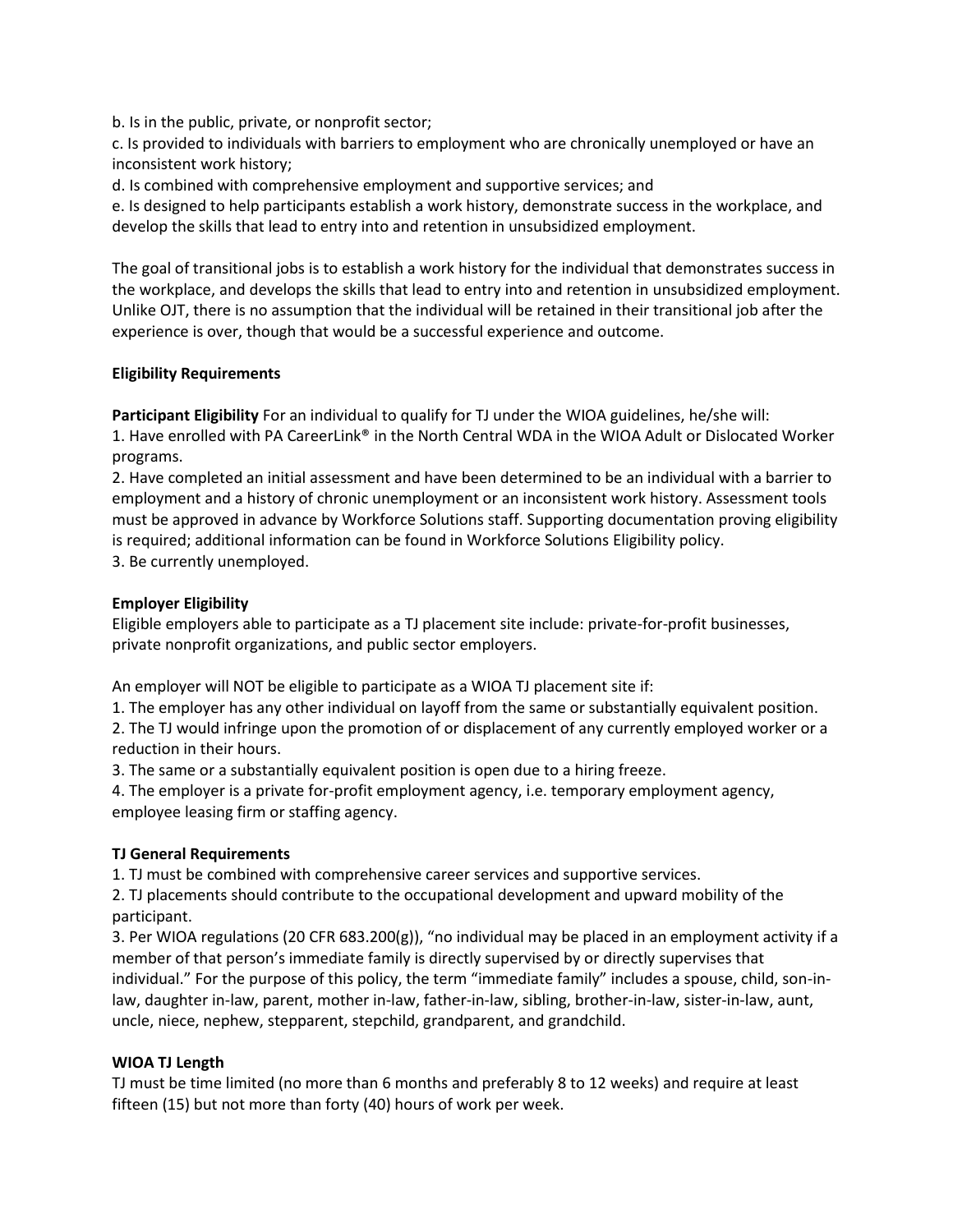b. Is in the public, private, or nonprofit sector;

c. Is provided to individuals with barriers to employment who are chronically unemployed or have an inconsistent work history;

d. Is combined with comprehensive employment and supportive services; and

e. Is designed to help participants establish a work history, demonstrate success in the workplace, and develop the skills that lead to entry into and retention in unsubsidized employment.

The goal of transitional jobs is to establish a work history for the individual that demonstrates success in the workplace, and develops the skills that lead to entry into and retention in unsubsidized employment. Unlike OJT, there is no assumption that the individual will be retained in their transitional job after the experience is over, though that would be a successful experience and outcome.

# **Eligibility Requirements**

**Participant Eligibility** For an individual to qualify for TJ under the WIOA guidelines, he/she will: 1. Have enrolled with PA CareerLink® in the North Central WDA in the WIOA Adult or Dislocated Worker programs.

2. Have completed an initial assessment and have been determined to be an individual with a barrier to employment and a history of chronic unemployment or an inconsistent work history. Assessment tools must be approved in advance by Workforce Solutions staff. Supporting documentation proving eligibility is required; additional information can be found in Workforce Solutions Eligibility policy.

3. Be currently unemployed.

# **Employer Eligibility**

Eligible employers able to participate as a TJ placement site include: private-for-profit businesses, private nonprofit organizations, and public sector employers.

An employer will NOT be eligible to participate as a WIOA TJ placement site if:

1. The employer has any other individual on layoff from the same or substantially equivalent position.

2. The TJ would infringe upon the promotion of or displacement of any currently employed worker or a reduction in their hours.

3. The same or a substantially equivalent position is open due to a hiring freeze.

4. The employer is a private for-profit employment agency, i.e. temporary employment agency, employee leasing firm or staffing agency.

## **TJ General Requirements**

1. TJ must be combined with comprehensive career services and supportive services.

2. TJ placements should contribute to the occupational development and upward mobility of the participant.

3. Per WIOA regulations (20 CFR 683.200(g)), "no individual may be placed in an employment activity if a member of that person's immediate family is directly supervised by or directly supervises that individual." For the purpose of this policy, the term "immediate family" includes a spouse, child, son-inlaw, daughter in-law, parent, mother in-law, father-in-law, sibling, brother-in-law, sister-in-law, aunt, uncle, niece, nephew, stepparent, stepchild, grandparent, and grandchild.

## **WIOA TJ Length**

TJ must be time limited (no more than 6 months and preferably 8 to 12 weeks) and require at least fifteen (15) but not more than forty (40) hours of work per week.